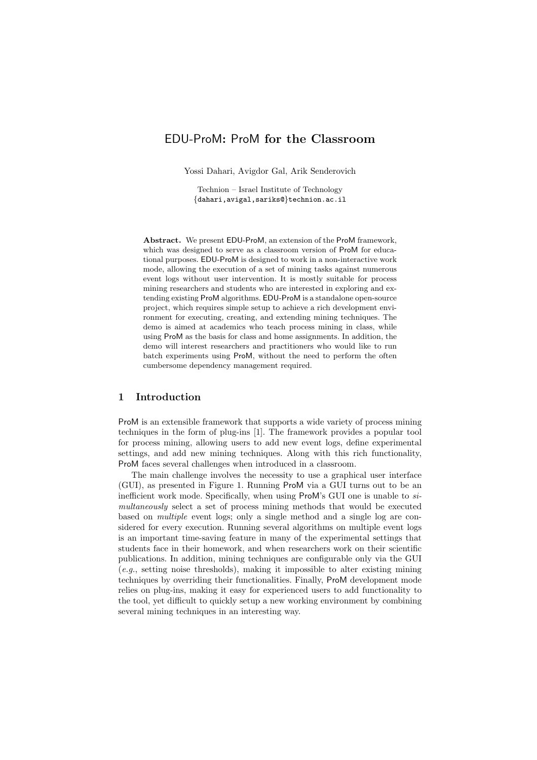# EDU-ProM: ProM for the Classroom

Yossi Dahari, Avigdor Gal, Arik Senderovich

Technion – Israel Institute of Technology *{*dahari,avigal,sariks@*}*technion.ac.il

Abstract. We present EDU-ProM, an extension of the ProM framework, which was designed to serve as a classroom version of ProM for educational purposes. EDU-ProM is designed to work in a non-interactive work mode, allowing the execution of a set of mining tasks against numerous event logs without user intervention. It is mostly suitable for process mining researchers and students who are interested in exploring and extending existing ProM algorithms. EDU-ProM is a standalone open-source project, which requires simple setup to achieve a rich development environment for executing, creating, and extending mining techniques. The demo is aimed at academics who teach process mining in class, while using ProM as the basis for class and home assignments. In addition, the demo will interest researchers and practitioners who would like to run batch experiments using ProM, without the need to perform the often cumbersome dependency management required.

#### 1 Introduction

ProM is an extensible framework that supports a wide variety of process mining techniques in the form of plug-ins [1]. The framework provides a popular tool for process mining, allowing users to add new event logs, define experimental settings, and add new mining techniques. Along with this rich functionality, ProM faces several challenges when introduced in a classroom.

The main challenge involves the necessity to use a graphical user interface (GUI), as presented in Figure 1. Running ProM via a GUI turns out to be an inefficient work mode. Specifically, when using ProM's GUI one is unable to *simultaneously* select a set of process mining methods that would be executed based on *multiple* event logs; only a single method and a single log are considered for every execution. Running several algorithms on multiple event logs is an important time-saving feature in many of the experimental settings that students face in their homework, and when researchers work on their scientific publications. In addition, mining techniques are configurable only via the GUI (*e.g.*, setting noise thresholds), making it impossible to alter existing mining techniques by overriding their functionalities. Finally, ProM development mode relies on plug-ins, making it easy for experienced users to add functionality to the tool, yet difficult to quickly setup a new working environment by combining several mining techniques in an interesting way.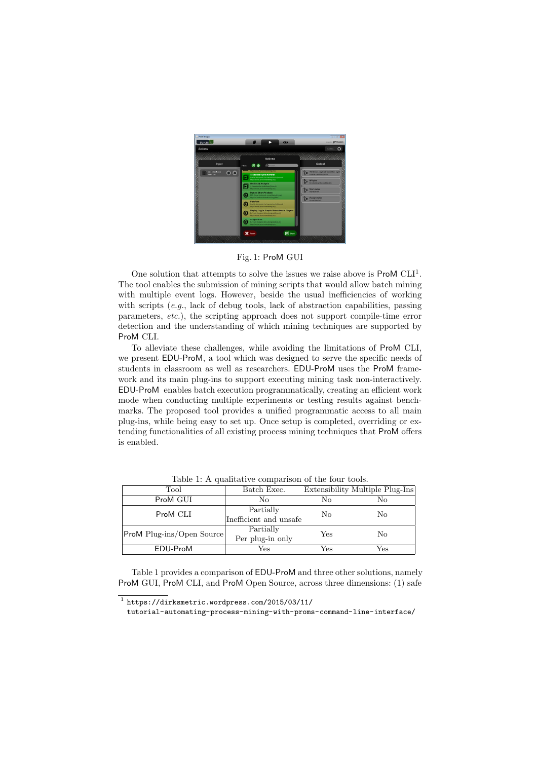

Fig. 1: ProM GUI

One solution that attempts to solve the issues we raise above is  $\text{ProM } CLI^1$ . The tool enables the submission of mining scripts that would allow batch mining with multiple event logs. However, beside the usual inefficiencies of working with scripts (*e.g.*, lack of debug tools, lack of abstraction capabilities, passing parameters, *etc.*), the scripting approach does not support compile-time error detection and the understanding of which mining techniques are supported by ProM CLI.

To alleviate these challenges, while avoiding the limitations of ProM CLI, we present EDU-ProM, a tool which was designed to serve the specific needs of students in classroom as well as researchers. EDU-ProM uses the ProM framework and its main plug-ins to support executing mining task non-interactively. EDU-ProM enables batch execution programmatically, creating an efficient work mode when conducting multiple experiments or testing results against benchmarks. The proposed tool provides a unified programmatic access to all main plug-ins, while being easy to set up. Once setup is completed, overriding or extending functionalities of all existing process mining techniques that ProM offers is enabled.

| Tool                             | Batch Exec.            |     | Extensibility Multiple Plug-Ins |
|----------------------------------|------------------------|-----|---------------------------------|
| ProM GUI                         | No                     | Nο  | No                              |
| ProM CLI                         | Partially              | No  | No                              |
|                                  | Inefficient and unsafe |     |                                 |
| <b>ProM</b> Plug-ins/Open Source | Partially              | Yes | No                              |
|                                  | Per plug-in only       |     |                                 |
| EDU-ProM                         | Yes                    | Yes | Yes                             |

Table 1: A qualitative comparison of the four tools.

Table 1 provides a comparison of EDU-ProM and three other solutions, namely ProM GUI, ProM CLI, and ProM Open Source, across three dimensions: (1) safe

 $1$  https://dirksmetric.wordpress.com/2015/03/11/

tutorial-automating-process-mining-with-proms-command-line-interface/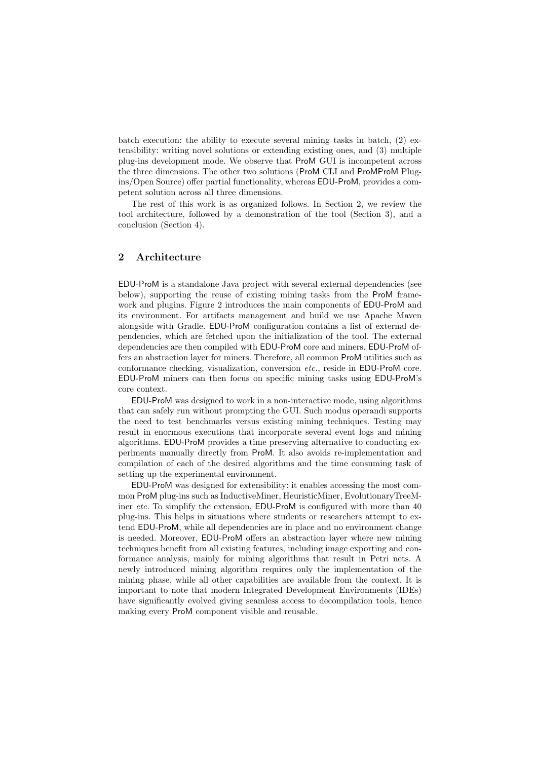batch execution: the ability to execute several mining tasks in batch, (2) extensibility: writing novel solutions or extending existing ones, and (3) multiple plug-ins development mode. We observe that ProM GUI is incompetent across the three dimensions. The other two solutions (ProM CLI and ProMProM Plugins/Open Source) offer partial functionality, whereas EDU-ProM, provides a competent solution across all three dimensions.

The rest of this work is as organized follows. In Section 2, we review the tool architecture, followed by a demonstration of the tool (Section 3), and a conclusion (Section 4).

#### 2 Architecture

EDU-ProM is a standalone Java project with several external dependencies (see below), supporting the reuse of existing mining tasks from the ProM framework and plugins. Figure 2 introduces the main components of EDU-ProM and its environment. For artifacts management and build we use Apache Maven alongside with Gradle. EDU-ProM configuration contains a list of external dependencies, which are fetched upon the initialization of the tool. The external dependencies are then compiled with EDU-ProM core and miners. EDU-ProM offers an abstraction layer for miners. Therefore, all common ProM utilities such as conformance checking, visualization, conversion *etc.*, reside in EDU-ProM core. EDU-ProM miners can then focus on specific mining tasks using EDU-ProM's core context.

EDU-ProM was designed to work in a non-interactive mode, using algorithms that can safely run without prompting the GUI. Such modus operandi supports the need to test benchmarks versus existing mining techniques. Testing may result in enormous executions that incorporate several event logs and mining algorithms. EDU-ProM provides a time preserving alternative to conducting experiments manually directly from ProM. It also avoids re-implementation and compilation of each of the desired algorithms and the time consuming task of setting up the experimental environment.

EDU-ProM was designed for extensibility: it enables accessing the most common ProM plug-ins such as InductiveMiner, HeuristicMiner, EvolutionaryTreeMiner *etc.* To simplify the extension, EDU-ProM is configured with more than 40 plug-ins. This helps in situations where students or researchers attempt to extend EDU-ProM, while all dependencies are in place and no environment change is needed. Moreover, EDU-ProM offers an abstraction layer where new mining techniques benefit from all existing features, including image exporting and conformance analysis, mainly for mining algorithms that result in Petri nets. A newly introduced mining algorithm requires only the implementation of the mining phase, while all other capabilities are available from the context. It is important to note that modern Integrated Development Environments (IDEs) have significantly evolved giving seamless access to decompilation tools, hence making every ProM component visible and reusable.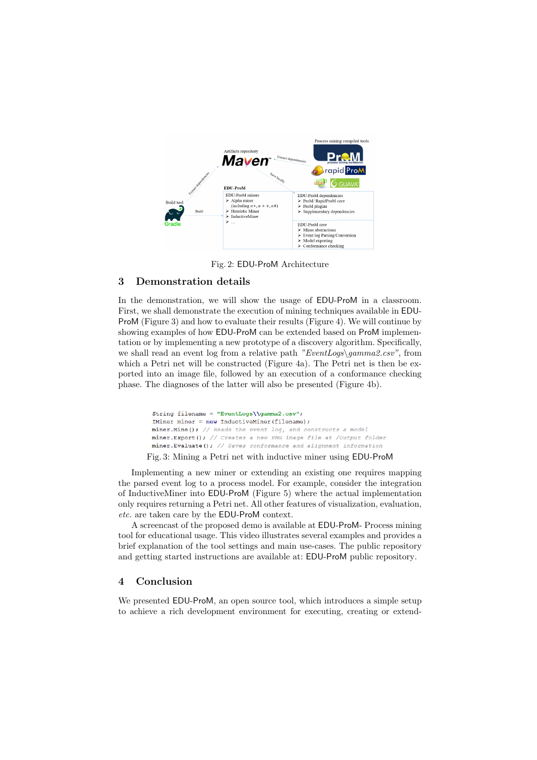

Fig. 2: EDU-ProM Architecture

### 3 Demonstration details

In the demonstration, we will show the usage of EDU-ProM in a classroom. First, we shall demonstrate the execution of mining techniques available in EDU-ProM (Figure 3) and how to evaluate their results (Figure 4). We will continue by showing examples of how EDU-ProM can be extended based on ProM implementation or by implementing a new prototype of a discovery algorithm. Specifically, we shall read an event log from a relative path *"EventLogs\gamma2.csv"*, from which a Petri net will be constructed (Figure 4a). The Petri net is then be exported into an image file, followed by an execution of a conformance checking phase. The diagnoses of the latter will also be presented (Figure 4b).

> String filename = "EventLogs\\gamma2.csv"; IMiner miner =  $new InductiveMiner(filename)$ ; miner. Mine(); // Reads the event  $log<sub>r</sub>$  and constructs a model miner.Export(); // Creates a new PNG image file at /Output folder miner. Evaluate (); // Saves conformance and alignment information

Fig. 3: Mining a Petri net with inductive miner using EDU-ProM

Implementing a new miner or extending an existing one requires mapping the parsed event log to a process model. For example, consider the integration of InductiveMiner into EDU-ProM (Figure 5) where the actual implementation only requires returning a Petri net. All other features of visualization, evaluation, *etc.* are taken care by the EDU-ProM context.

A screencast of the proposed demo is available at EDU-ProM- Process mining tool for educational usage. This video illustrates several examples and provides a brief explanation of the tool settings and main use-cases. The public repository and getting started instructions are available at: EDU-ProM public repository.

#### 4 Conclusion

We presented EDU-ProM, an open source tool, which introduces a simple setup to achieve a rich development environment for executing, creating or extend-